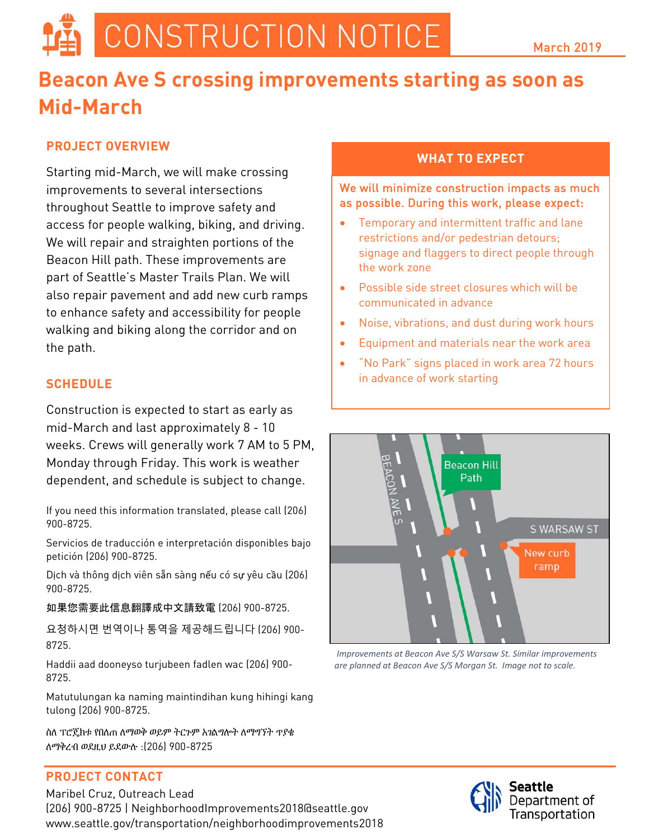# CONSTRUCTION NOTICE

# **Beacon Ave S crossing improvements starting as soon as Mid-March**

## **PROJECT OVERVIEW**

Starting mid-March, we will make crossing improvements to several intersections throughout Seattle to improve safety and access for people walking, biking, and driving. We will repair and straighten portions of the Beacon Hill path. These improvements are part of Seattle's Master Trails Plan. We will also repair pavement and add new curb ramps to enhance safety and accessibility for people walking and biking along the corridor and on the path.

### **SCHEDULE**

Construction is expected to start as early as mid-March and last approximately 8 - 10 weeks. Crews will generally work 7 AM to 5 PM, Monday through Friday. This work is weather dependent, and schedule is subject to change.

If you need this information translated, please call (206) 900-8725.

Servicios de traducción e interpretación disponibles bajo petición (206) 900-8725.

Dịch và thông dịch viên sẵn sàng nếu có sự yêu cầu (206) 900-8725.

如果您需要此信息翻譯成中文請致電 (206) 900-8725.

요청하시면 번역이나 통역을 제공해드립니다 (206) 900- 8725.

Haddii aad dooneyso turjubeen fadlen wac (206) 900- 8725.

Matutulungan ka naming maintindihan kung hihingi kang tulong (206) 900-8725.

ስለ ፕሮጄክቱ የበለጠ ለማወቅ ወይም ትርጉም አገልግሎት ለማግኘት ጥያቄ ለማቅረብ ወደዚህ ይደውሉ :(206) 900-8725

#### **PROJECT CONTACT**

Maribel Cruz, Outreach Lead (206) 900-8725 [| NeighborhoodImprovements2018@seattle.gov](mailto:NeighborhoodImprovements2018@seattle.gov) www.seattle.gov/transportation/neighborhoodimprovements2018

#### **WHAT TO EXPECT**

We will minimize construction impacts as much as possible. During this work, please expect:

- Temporary and intermittent traffic and lane restrictions and/or pedestrian detours; signage and flaggers to direct people through the work zone
- Possible side street closures which will be communicated in advance
- Noise, vibrations, and dust during work hours
- Equipment and materials near the work area
- "No Park" signs placed in work area 72 hours in advance of work starting



*Improvements at Beacon Ave S/S Warsaw St. Similar improvements are planned at Beacon Ave S/S Morgan St. Image not to scale.*